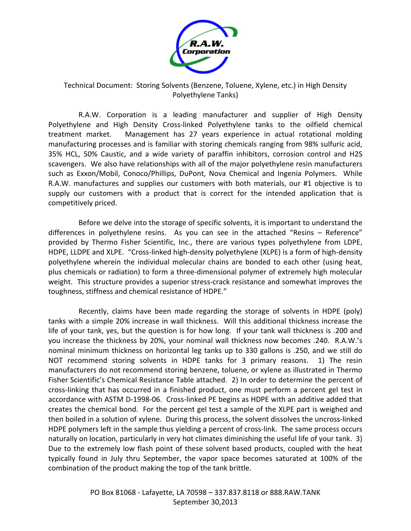

## Technical Document: Storing Solvents (Benzene, Toluene, Xylene, etc.) in High Density Polyethylene Tanks)

R.A.W. Corporation is a leading manufacturer and supplier of High Density Polyethylene and High Density Cross-linked Polyethylene tanks to the oilfield chemical treatment market. Management has 27 years experience in actual rotational molding manufacturing processes and is familiar with storing chemicals ranging from 98% sulfuric acid, 35% HCL, 50% Caustic, and a wide variety of paraffin inhibitors, corrosion control and H2S scavengers. We also have relationships with all of the major polyethylene resin manufacturers such as Exxon/Mobil, Conoco/Phillips, DuPont, Nova Chemical and Ingenia Polymers. While R.A.W. manufactures and supplies our customers with both materials, our #1 objective is to supply our customers with a product that is correct for the intended application that is competitively priced.

Before we delve into the storage of specific solvents, it is important to understand the differences in polyethylene resins. As you can see in the attached "Resins – Reference" provided by Thermo Fisher Scientific, Inc., there are various types polyethylene from LDPE, HDPE, LLDPE and XLPE. "Cross-linked high-density polyethylene (XLPE) is a form of high-density polyethylene wherein the individual molecular chains are bonded to each other (using heat, plus chemicals or radiation) to form a three-dimensional polymer of extremely high molecular weight. This structure provides a superior stress-crack resistance and somewhat improves the toughness, stiffness and chemical resistance of HDPE."

Recently, claims have been made regarding the storage of solvents in HDPE (poly) tanks with a simple 20% increase in wall thickness. Will this additional thickness increase the life of your tank, yes, but the question is for how long. If your tank wall thickness is .200 and you increase the thickness by 20%, your nominal wall thickness now becomes .240. R.A.W.'s nominal minimum thickness on horizontal leg tanks up to 330 gallons is .250, and we still do NOT recommend storing solvents in HDPE tanks for 3 primary reasons. 1) The resin manufacturers do not recommend storing benzene, toluene, or xylene as illustrated in Thermo Fisher Scientific's Chemical Resistance Table attached. 2) In order to determine the percent of cross-linking that has occurred in a finished product, one must perform a percent gel test in accordance with ASTM D-1998-06. Cross-linked PE begins as HDPE with an additive added that creates the chemical bond. For the percent gel test a sample of the XLPE part is weighed and then boiled in a solution of xylene. During this process, the solvent dissolves the uncross-linked HDPE polymers left in the sample thus yielding a percent of cross-link. The same process occurs naturally on location, particularly in very hot climates diminishing the useful life of your tank. 3) Due to the extremely low flash point of these solvent based products, coupled with the heat typically found in July thru September, the vapor space becomes saturated at 100% of the combination of the product making the top of the tank brittle.